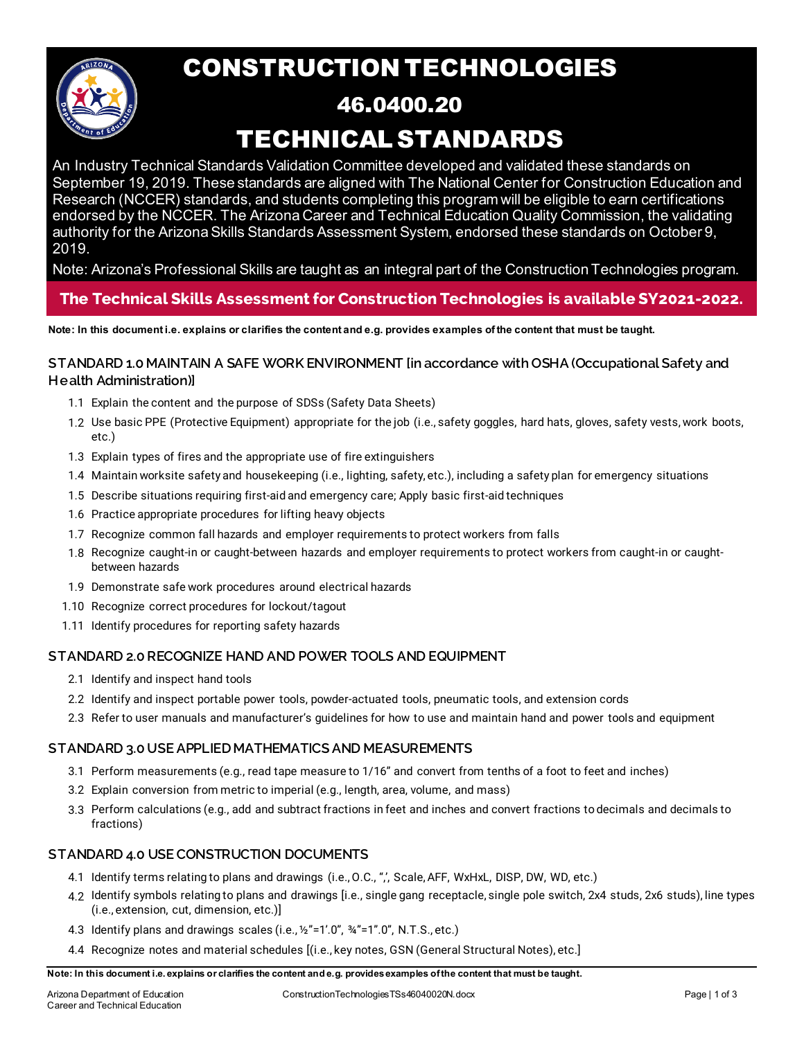

# CONSTRUCTION TECHNOLOGIES

## 46.0400.20 TECHNICAL STANDARDS

An Industry Technical Standards Validation Committee developed and validated these standards on September 19, 2019. These standards are aligned with The National Center for Construction Education and Research (NCCER) standards, and students completing this program will be eligible to earn certifications endorsed by the NCCER. The Arizona Career and Technical Education Quality Commission, the validating authority for the Arizona Skills Standards Assessment System, endorsed these standards on October 9, 2019.

Note: Arizona's Professional Skills are taught as an integral part of the Construction Technologies program.

### **The Technical Skills Assessment for Construction Technologies is available SY2021-2022.**

**Note: In this document i.e. explains or clarifies the content and e.g. provides examples of the content that must be taught.**

#### **STANDARD 1.0 MAINTAIN A SAFE WORK ENVIRONMENT [in accordance with OSHA (Occupational Safety and Health Administration)]**

- 1.1 Explain the content and the purpose of SDSs (Safety Data Sheets)
- 1.2 Use basic PPE (Protective Equipment) appropriate for the job (i.e., safety goggles, hard hats, gloves, safety vests, work boots, etc.)
- 1.3 Explain types of fires and the appropriate use of fire extinguishers
- 1.4 Maintain worksite safety and housekeeping (i.e., lighting, safety, etc.), including a safety plan for emergency situations
- 1.5 Describe situations requiring first-aid and emergency care; Apply basic first-aid techniques
- 1.6 Practice appropriate procedures for lifting heavy objects
- 1.7 Recognize common fall hazards and employer requirements to protect workers from falls
- 1.8 Recognize caught-in or caught-between hazards and employer requirements to protect workers from caught-in or caughtbetween hazards
- 1.9 Demonstrate safe work procedures around electrical hazards
- 1.10 Recognize correct procedures for lockout/tagout
- 1.11 Identify procedures for reporting safety hazards

#### **STANDARD 2.0RECOGNIZE HAND AND POWER TOOLS AND EQUIPMENT**

- 2.1 Identify and inspect hand tools
- 2.2 Identify and inspect portable power tools, powder-actuated tools, pneumatic tools, and extension cords
- 2.3 Refer to user manuals and manufacturer's guidelines for how to use and maintain hand and power tools and equipment

#### **STANDARD 3.0 USE APPLIED MATHEMATICS AND MEASUREMENTS**

- 3.1 Perform measurements (e.g., read tape measure to 1/16" and convert from tenths of a foot to feet and inches)
- 3.2 Explain conversion from metric to imperial (e.g., length, area, volume, and mass)
- 3.3 Perform calculations (e.g., add and subtract fractions in feet and inches and convert fractions to decimals and decimals to fractions)

#### **STANDARD 4.0 USE CONSTRUCTION DOCUMENTS**

- 4.1 Identify terms relating to plans and drawings (i.e., O.C., ",', Scale, AFF, WxHxL, DISP, DW, WD, etc.)
- 4.2 Identify symbols relating to plans and drawings [i.e., single gang receptacle, single pole switch, 2x4 studs, 2x6 studs), line types (i.e., extension, cut, dimension, etc.)]
- 4.3 Identify plans and drawings scales (i.e., ½"=1'.0", ¾"=1".0", N.T.S., etc.)
- 4.4 Recognize notes and material schedules [(i.e., key notes, GSN (General Structural Notes), etc.]

**Note: In this document i.e. explains or clarifies the content and e.g. provides examples of the content that must be taught.**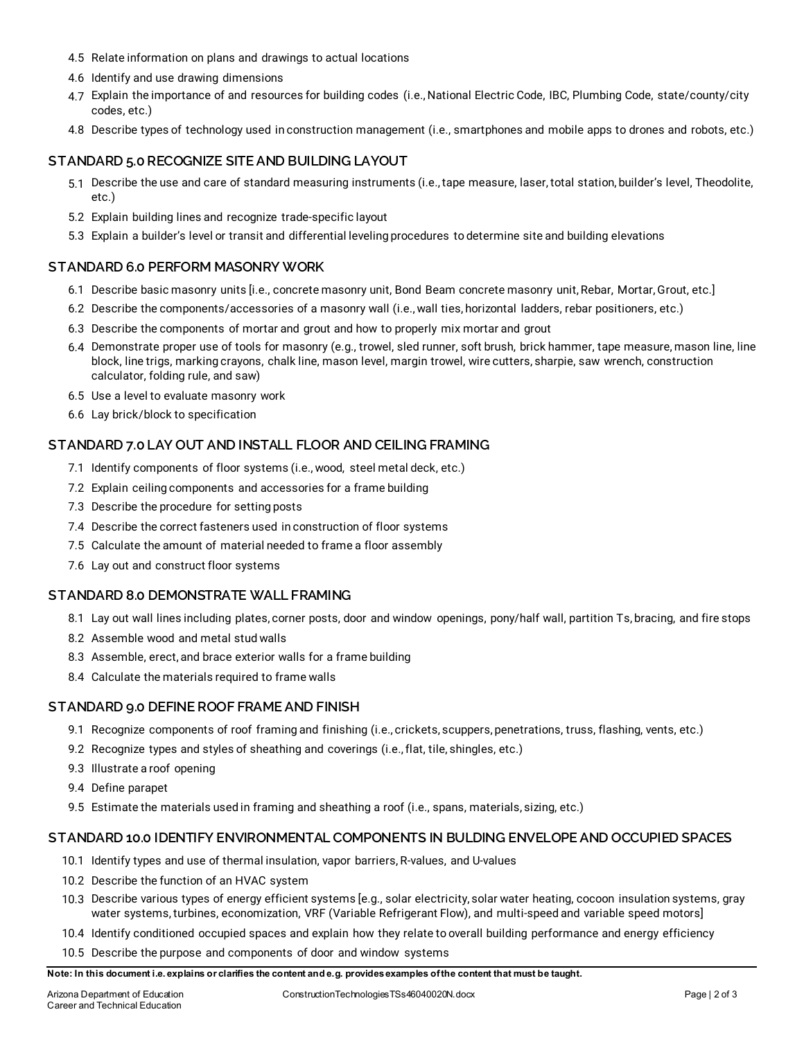- 4.5 Relate information on plans and drawings to actual locations
- 4.6 Identify and use drawing dimensions
- 4.7 Explain the importance of and resources for building codes (i.e., National Electric Code, IBC, Plumbing Code, state/county/city codes, etc.)
- 4.8 Describe types of technology used in construction management (i.e., smartphones and mobile apps to drones and robots, etc.)

#### **STANDARD 5.0 RECOGNIZE SITE AND BUILDING LAYOUT**

- 5.1 Describe the use and care of standard measuring instruments (i.e., tape measure, laser, total station, builder's level, Theodolite, etc.)
- 5.2 Explain building lines and recognize trade‐specific layout
- 5.3 Explain a builder's level or transit and differential leveling procedures to determine site and building elevations

#### **STANDARD 6.0 PERFORM MASONRY WORK**

- 6.1 Describe basic masonry units [i.e., concrete masonry unit, Bond Beam concrete masonry unit, Rebar, Mortar, Grout, etc.]
- 6.2 Describe the components/accessories of a masonry wall (i.e., wall ties, horizontal ladders, rebar positioners, etc.)
- 6.3 Describe the components of mortar and grout and how to properly mix mortar and grout
- 6.4 Demonstrate proper use of tools for masonry (e.g., trowel, sled runner, soft brush, brick hammer, tape measure, mason line, line block, line trigs, marking crayons, chalk line, mason level, margin trowel, wire cutters, sharpie, saw wrench, construction calculator, folding rule, and saw)
- 6.5 Use a level to evaluate masonry work
- 6.6 Lay brick/block to specification

#### **STANDARD 7.0 LAY OUT AND INSTALL FLOOR AND CEILING FRAMING**

- 7.1 Identify components of floor systems (i.e., wood, steel metal deck, etc.)
- 7.2 Explain ceiling components and accessories for a frame building
- 7.3 Describe the procedure for setting posts
- 7.4 Describe the correct fasteners used in construction of floor systems
- 7.5 Calculate the amount of material needed to frame a floor assembly
- 7.6 Lay out and construct floor systems

#### **STANDARD 8.0 DEMONSTRATE WALL FRAMING**

- 8.1 Lay out wall lines including plates, corner posts, door and window openings, pony/half wall, partition Ts, bracing, and fire stops
- 8.2 Assemble wood and metal stud walls
- 8.3 Assemble, erect, and brace exterior walls for a frame building
- 8.4 Calculate the materials required to frame walls

#### **STANDARD 9.0 DEFINE ROOF FRAME AND FINISH**

- 9.1 Recognize components of roof framing and finishing (i.e., crickets, scuppers, penetrations, truss, flashing, vents, etc.)
- 9.2 Recognize types and styles of sheathing and coverings (i.e., flat, tile, shingles, etc.)
- 9.3 Illustrate a roof opening
- 9.4 Define parapet
- 9.5 Estimate the materials used in framing and sheathing a roof (i.e., spans, materials, sizing, etc.)

#### **STANDARD 10.0 IDENTIFY ENVIRONMENTAL COMPONENTS IN BULDING ENVELOPE AND OCCUPIED SPACES**

- 10.1 Identify types and use of thermal insulation, vapor barriers, R-values, and U-values
- 10.2 Describe the function of an HVAC system
- 10.3 Describe various types of energy efficient systems [e.g., solar electricity, solar water heating, cocoon insulation systems, gray water systems, turbines, economization, VRF (Variable Refrigerant Flow), and multi-speed and variable speed motors]
- 10.4 Identify conditioned occupied spaces and explain how they relate to overall building performance and energy efficiency
- 10.5 Describe the purpose and components of door and window systems

#### **Note: In this document i.e. explains or clarifies the content and e.g. provides examples of the content that must be taught.**